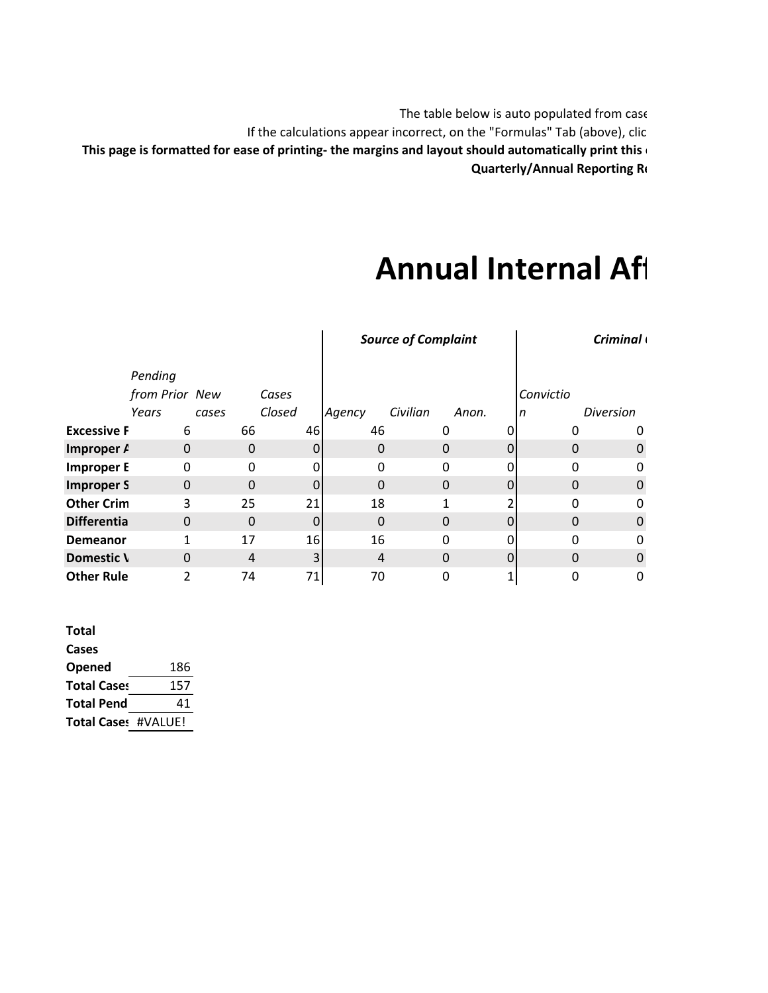The table below is auto populated from case If the calculations appear incorrect, on the "Formulas" Tab (above), clic **This page is formatted for ease of printing- the margins and layout should automatically print this o Quarterly/Annual Reporting Re** 

## **Annual Internal Aff**

|                    |                |          |          | <b>Source of Complaint</b> |          |       | <b>Criminal</b> |                  |  |
|--------------------|----------------|----------|----------|----------------------------|----------|-------|-----------------|------------------|--|
|                    | Pending        |          |          |                            |          |       |                 |                  |  |
|                    | from Prior New |          | Cases    |                            |          |       | Convictio       |                  |  |
|                    | Years          | cases    | Closed   | Agency                     | Civilian | Anon. | In              | <b>Diversion</b> |  |
| <b>Excessive F</b> | 6              | 66       | 46       | 46                         |          |       |                 |                  |  |
| Improper A         | $\Omega$       | 0        | $\Omega$ | 0                          | 0        |       | $\Omega$        |                  |  |
| <b>Improper E</b>  | 0              | $\Omega$ | 0        | $\Omega$                   | $\Omega$ | 0     | O               |                  |  |
| <b>Improper S</b>  | $\Omega$       | $\Omega$ | $\Omega$ | 0                          | 0        |       | $\Omega$        |                  |  |
| <b>Other Crim</b>  | 3              | 25       | 21       | 18                         | 1        |       | O               |                  |  |
| <b>Differentia</b> | $\Omega$       | $\Omega$ | $\Omega$ | $\Omega$                   | 0        | 0     | $\Omega$        |                  |  |
| Demeanor           | 1              | 17       | 16       | 16                         | 0        |       | O               |                  |  |
| Domestic \         | $\Omega$       | 4        |          | 4                          | $\Omega$ | 0     | $\Omega$        |                  |  |
| <b>Other Rule</b>  | 2              | 74       | 71       | 70                         | 0        |       |                 |                  |  |

| <b>Total</b>               |     |
|----------------------------|-----|
| Cases                      |     |
| <b>Opened</b>              | 186 |
| <b>Total Cases</b>         | 157 |
| <b>Total Pend</b>          | 41  |
| <b>Total Cases #VALUE!</b> |     |